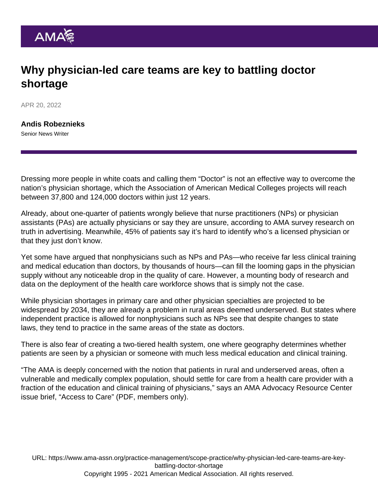# Why physician-led care teams are key to battling doctor shortage

APR 20, 2022

[Andis Robeznieks](https://www.ama-assn.org/news-leadership-viewpoints/authors-news-leadership-viewpoints/andis-robeznieks) Senior News Writer

Dressing more people in white coats and calling them "Doctor" is not an effective way to overcome the nation's physician shortage, which the Association of American Medical Colleges projects will reach between 37,800 and 124,000 doctors within just 12 years.

Already, about one-quarter of patients wrongly believe that nurse practitioners (NPs) or physician assistants (PAs) are actually physicians or say they are unsure, according to [AMA survey research on](https://www.ama-assn.org/sites/ama-assn.org/files/corp/media-browser/premium/arc/tia-survey_0.pdf) [truth in advertising](https://www.ama-assn.org/sites/ama-assn.org/files/corp/media-browser/premium/arc/tia-survey_0.pdf). Meanwhile, 45% of patients say it's hard to identify who's a licensed physician or that they just don't know.

Yet some have argued that nonphysicians such as NPs and PAs—who receive far less clinical training and medical education than doctors, by thousands of hours—can fill the looming gaps in the physician supply without any noticeable drop in the quality of care. However, a mounting body of research and data on the deployment of the health care workforce shows that is simply not the case.

While physician shortages in primary care and other physician specialties are projected to be widespread by 2034, they are already a problem in rural areas deemed underserved. But states where independent practice is allowed for nonphysicians such as NPs see that despite changes to state laws, they tend to practice in the same areas of the state as doctors.

There is also fear of creating a two-tiered health system, one where geography determines whether patients are seen by a physician or someone with much less medical education and clinical training.

"The AMA is deeply concerned with the notion that patients in rural and underserved areas, often a vulnerable and medically complex population, should settle for care from a health care provider with a fraction of the education and clinical training of physicians," says an AMA Advocacy Resource Center issue brief, ["Access to Care"](https://www.ama-assn.org/system/files/issue-brief-access-to-care.pdf) (PDF, members only).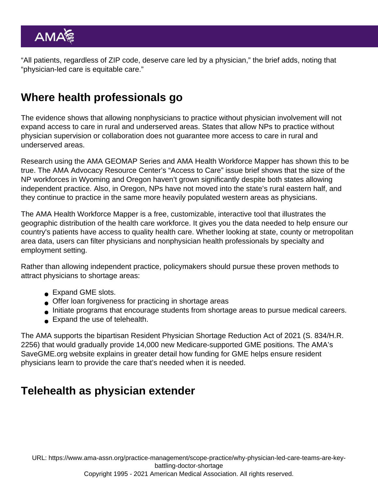"All patients, regardless of ZIP code, deserve care led by a physician," the brief adds, noting that "physician-led care is equitable care."

# Where health professionals go

The evidence shows that allowing nonphysicians to practice without physician involvement will not expand access to care in rural and underserved areas. States that allow NPs to practice without physician supervision or collaboration does not guarantee more access to care in rural and underserved areas.

Research using the AMA GEOMAP Series and [AMA Health Workforce Mapper](https://www.ama-assn.org/about/research/health-workforce-mapper) has shown this to be true. The AMA Advocacy Resource Center's "Access to Care" issue brief shows that the size of the NP workforces in Wyoming and Oregon haven't grown significantly despite both states allowing independent practice. Also, in Oregon, NPs have not moved into the state's rural eastern half, and they continue to practice in the same more heavily populated western areas as physicians.

The AMA Health Workforce Mapper is a free, customizable, interactive tool that illustrates the geographic distribution of the health care workforce. It gives you the data needed to help ensure our country's patients have access to quality health care. Whether looking at state, county or metropolitan area data, users can filter physicians and nonphysician health professionals by specialty and employment setting.

Rather than allowing independent practice, policymakers should pursue these proven methods to attract physicians to shortage areas:

- Expand GME slots.
- Offer loan forgiveness for practicing in shortage areas
- Initiate programs that encourage students from shortage areas to pursue medical careers.
- Expand the use of [telehealth](https://www.ama-assn.org/topics/telehealth).

The AMA supports [the bipartisan Resident Physician Shortage Reduction Act of 2021](https://searchlf.ama-assn.org/letter/documentDownload?uri=/unstructured/binary/letter/LETTERS/2021-3-24-House-GMAC-Sign-on-Resident-Physician-Shortage-Reduction-Act-of-2021-FINAL.pdf) (S. 834/H.R. 2256) that would gradually provide 14,000 new Medicare-supported GME positions. The AMA's [SaveGME.org](https://savegme.org/) website explains in greater detail how funding for GME helps ensure resident physicians learn to provide the care that's needed when it is needed.

# Telehealth as physician extender

URL: [https://www.ama-assn.org/practice-management/scope-practice/why-physician-led-care-teams-are-key](https://www.ama-assn.org/practice-management/scope-practice/why-physician-led-care-teams-are-key-battling-doctor-shortage)[battling-doctor-shortage](https://www.ama-assn.org/practice-management/scope-practice/why-physician-led-care-teams-are-key-battling-doctor-shortage)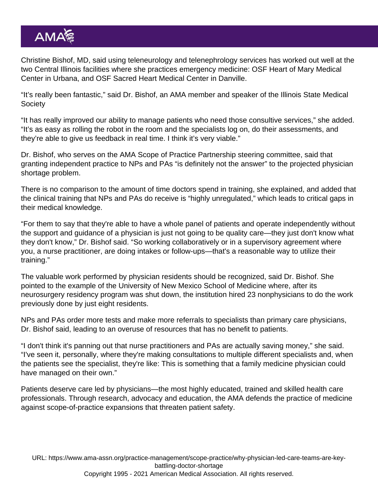Christine Bishof, MD, said using teleneurology and telenephrology services has worked out well at the two Central Illinois facilities where she practices emergency medicine: OSF Heart of Mary Medical Center in Urbana, and OSF Sacred Heart Medical Center in Danville.

"It's really been fantastic," said Dr. Bishof, an AMA member and speaker of the Illinois State Medical **Society** 

"It has really improved our ability to manage patients who need those consultive services," she added. "It's as easy as rolling the robot in the room and the specialists log on, do their assessments, and they're able to give us feedback in real time. I think it's very viable."

Dr. Bishof, who serves on the [AMA Scope of Practice Partnership](https://www.ama-assn.org/topics/scope-practice-partnership) steering committee, said that granting independent practice to NPs and PAs "is definitely not the answer" to the projected physician shortage problem.

There is no comparison to the amount of time doctors spend in training, she explained, and added that the clinical training that NPs and PAs do receive is "highly unregulated," which leads to critical gaps in their medical knowledge.

"For them to say that they're able to have a whole panel of patients and operate independently without the support and guidance of a physician is just not going to be quality care—they just don't know what they don't know," Dr. Bishof said. "So working collaboratively or in a supervisory agreement where you, a nurse practitioner, are doing intakes or follow-ups—that's a reasonable way to utilize their training."

The valuable work performed by physician residents should be recognized, said Dr. Bishof. She pointed to the example of the University of New Mexico School of Medicine where, after its neurosurgery residency program was shut down, the institution hired 23 nonphysicians to do the work previously done by just eight residents.

NPs and PAs order more tests and make more referrals to specialists than primary care physicians, Dr. Bishof said, leading to an overuse of resources that has no benefit to patients.

"I don't think it's panning out that nurse practitioners and PAs are actually saving money," she said. "I've seen it, personally, where they're making consultations to multiple different specialists and, when the patients see the specialist, they're like: This is something that a family medicine physician could have managed on their own."

Patients deserve care led by physicians—the most highly educated, trained and skilled health care professionals. Through research, advocacy and education, the [AMA defends the practice of medicine](https://www.ama-assn.org/practice-management/scope-practice/ama-successfully-fights-scope-practice-expansions-threaten) [against scope-of-practice expansions](https://www.ama-assn.org/practice-management/scope-practice/ama-successfully-fights-scope-practice-expansions-threaten) that threaten patient safety.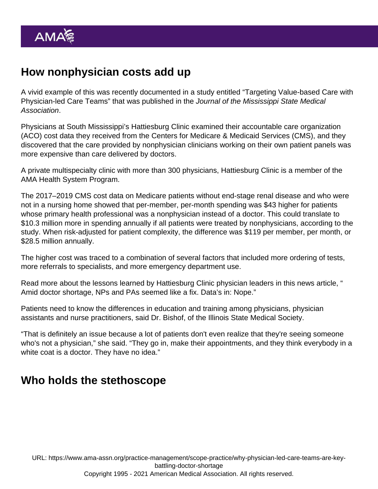# How nonphysician costs add up

A vivid example of this was recently documented in a study entitled "[Targeting Value-based Care with](https://ejournal.msmaonline.com/publication/?m=63060&i=735364&p=20&ver=html5) [Physician-led Care Teams"](https://ejournal.msmaonline.com/publication/?m=63060&i=735364&p=20&ver=html5) that was published in the Journal of the Mississippi State Medical Association.

Physicians at South Mississippi's Hattiesburg Clinic examined their accountable care organization (ACO) cost data they received from the Centers for Medicare & Medicaid Services (CMS), and they discovered that the care provided by nonphysician clinicians working on their own patient panels was more expensive than care delivered by doctors.

A private multispecialty clinic with more than 300 physicians, Hattiesburg Clinic is a member of the [AMA Health System Program.](https://www.ama-assn.org/amaone/ama-health-system-engagement-program)

The 2017–2019 CMS cost data on Medicare patients without end-stage renal disease and who were not in a nursing home showed that per-member, per-month spending was \$43 higher for patients whose primary health professional was a nonphysician instead of a doctor. This could translate to \$10.3 million more in spending annually if all patients were treated by nonphysicians, according to the study. When risk-adjusted for patient complexity, the difference was \$119 per member, per month, or \$28.5 million annually.

The higher cost was traced to a combination of several factors that included more ordering of tests, more referrals to specialists, and more emergency department use.

Read more about the lessons learned by Hattiesburg Clinic physician leaders in this news article, " [Amid doctor shortage, NPs and PAs seemed like a fix. Data's in: Nope.](https://www.ama-assn.org/practice-management/scope-practice/amid-doctor-shortage-nps-and-pas-seemed-fix-data-s-nope)"

Patients need to know the differences in education and training among physicians, physician assistants and nurse practitioners, said Dr. Bishof, of the Illinois State Medical Society.

"That is definitely an issue because a lot of patients don't even realize that they're seeing someone who's not a physician," she said. "They go in, make their appointments, and they think everybody in a white coat is a doctor. They have no idea."

#### Who holds the stethoscope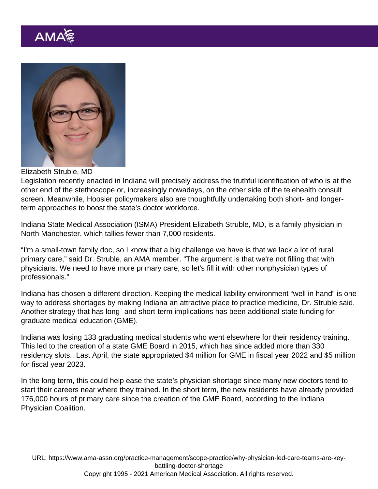#### Elizabeth Struble, MD

Legislation recently enacted in Indiana will precisely address the truthful identification of who is at the other end of the stethoscope or, increasingly nowadays, on the other side of the telehealth consult screen. Meanwhile, Hoosier policymakers also are thoughtfully undertaking both short- and longerterm approaches to boost the state's doctor workforce.

Indiana State Medical Association (ISMA) President Elizabeth Struble, MD, is a family physician in North Manchester, which tallies fewer than 7,000 residents.

"I'm a small-town family doc, so I know that a big challenge we have is that we lack a lot of rural primary care," said Dr. Struble, an AMA member. "The argument is that we're not filling that with physicians. We need to have more primary care, so let's fill it with other nonphysician types of professionals."

Indiana has chosen a different direction. Keeping the [medical liability environment](https://www.ama-assn.org/practice-management/sustainability/state-medical-liability-reform) "well in hand" is one way to address shortages by making Indiana an attractive place to practice medicine, Dr. Struble said. Another strategy that has long- and short-term implications has been additional state funding for graduate medical education (GME).

Indiana was losing 133 graduating medical students who went elsewhere for their residency training. This led to the creation of a state GME Board in 2015, which has since added more than 330 residency slots.. Last April, the state appropriated \$4 million for GME in fiscal year 2022 and \$5 million for fiscal year 2023.

In the long term, this could help ease the state's physician shortage since many new doctors tend to start their careers near where they trained. In the short term, the new residents have already provided 176,000 hours of primary care since the creation of the GME Board, according to the Indiana Physician Coalition.